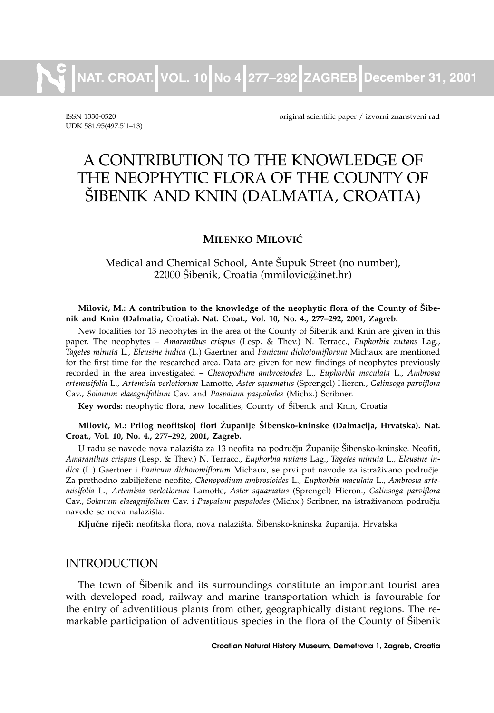**NAT. CROAT. VOL. 10 No 4 277–292 ZAGREB December 31, 2001**

UDK 581.95(497.5. 1–13)

ISSN 1330-0520 original scientific paper / izvorni znanstveni rad

# A CONTRIBUTION TO THE KNOWLEDGE OF THE NEOPHYTIC FLORA OF THE COUNTY OF [IBENIK AND KNIN (DALMATIA, CROATIA)

# **MILENKO MILOVIĆ**

Medical and Chemical School, Ante Šupuk Street (no number),  $22000$  Šibenik, Croatia (mmilovic $@$ inet.hr)

#### Milović, M.: A contribution to the knowledge of the neophytic flora of the County of Šibe**nik and Knin (Dalmatia, Croatia). Nat. Croat., Vol. 10, No. 4., 277–292, 2001, Zagreb.**

New localities for 13 neophytes in the area of the County of Šibenik and Knin are given in this paper. The neophytes – *Amaranthus crispus* (Lesp. & Thev.) N. Terracc., *Euphorbia nutans* Lag., *Tagetes minuta* L., *Eleusine indica* (L.) Gaertner and *Panicum dichotomiflorum* Michaux are mentioned for the first time for the researched area. Data are given for new findings of neophytes previously recorded in the area investigated – *Chenopodium ambrosioides* L., *Euphorbia maculata* L., *Ambrosia artemisifolia* L., *Artemisia verlotiorum* Lamotte, *Aster squamatus* (Sprengel) Hieron., *Galinsoga parviflora* Cav., *Solanum elaeagnifolium* Cav. and *Paspalum paspalodes* (Michx.) Scribner.

**Key words:** neophytic flora, new localities, County of Šibenik and Knin, Croatia

#### **Milovi}, M.: Prilog neofitskoj flori @upanije [ibensko-kninske (Dalmacija, Hrvatska). Nat. Croat., Vol. 10, No. 4., 277–292, 2001, Zagreb.**

U radu se navode nova nalazišta za 13 neofita na području Županije Šibensko-kninske. Neofiti, *Amaranthus crispus* (Lesp. & Thev.) N. Terracc., *Euphorbia nutans* Lag., *Tagetes minuta* L., *Eleusine in*dica (L.) Gaertner i *Panicum dichotomiflorum* Michaux, se prvi put navode za istraživano područje. Za prethodno zabilježene neofite, Chenopodium ambrosioides L., Euphorbia maculata L., Ambrosia arte*misifolia* L., *Artemisia verlotiorum* Lamotte, *Aster squamatus* (Sprengel) Hieron., *Galinsoga parviflora* Cav., Solanum elaeagnifolium Cav. i Paspalum paspalodes (Michx.) Scribner, na istraživanom području navode se nova nalazišta.

Ključne riječi: neofitska flora, nova nalazišta, Šibensko-kninska županija, Hrvatska

# INTRODUCTION

The town of Šibenik and its surroundings constitute an important tourist area with developed road, railway and marine transportation which is favourable for the entry of adventitious plants from other, geographically distant regions. The remarkable participation of adventitious species in the flora of the County of Šibenik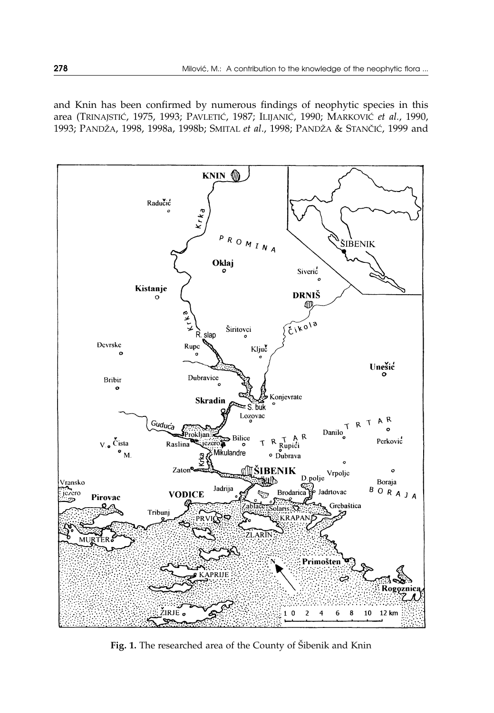and Knin has been confirmed by numerous findings of neophytic species in this area (TRINAJSTIĆ, 1975, 1993; PAVLETIĆ, 1987; ILIJANIĆ, 1990; MARKOVIĆ et al., 1990, 1993; PANDŽA, 1998, 1998a, 1998b; SMITAL et al., 1998; PANDŽA & STANČIĆ, 1999 and



Fig. 1. The researched area of the County of Šibenik and Knin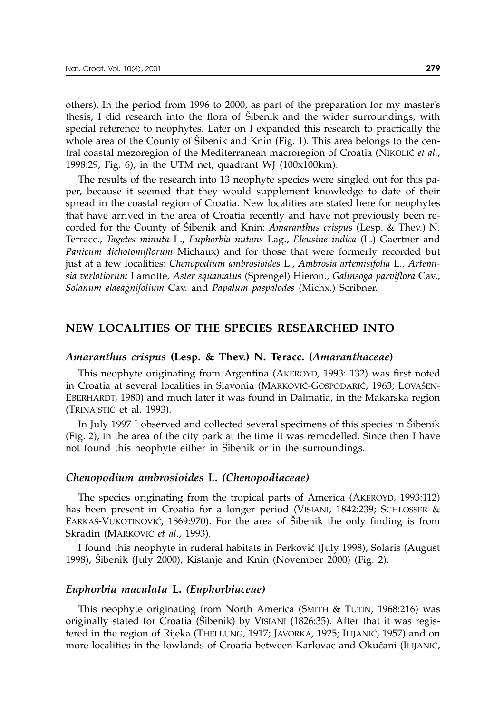others). In the period from 1996 to 2000, as part of the preparation for my master's thesis, I did research into the flora of Sibenik and the wider surroundings, with special reference to neophytes. Later on I expanded this research to practically the whole area of the County of Šibenik and Knin (Fig. 1). This area belongs to the central coastal mezoregion of the Mediterranean macroregion of Croatia (NIKOLIĆ et al., 1998:29, Fig. 6), in the UTM net, quadrant WJ (100x100km).

The results of the research into 13 neophyte species were singled out for this paper, because it seemed that they would supplement knowledge to date of their spread in the coastal region of Croatia. New localities are stated here for neophytes that have arrived in the area of Croatia recently and have not previously been recorded for the County of [ibenik and Knin: *Amaranthus crispus* (Lesp. & Thev.) N. Terracc., *Tagetes minuta* L., *Euphorbia nutans* Lag., *Eleusine indica* (L.) Gaertner and *Panicum dichotomiflorum* Michaux) and for those that were formerly recorded but just at a few localities: *Chenopodium ambrosioides* L., *Ambrosia artemisifolia* L., *Artemisia verlotiorum* Lamotte, *Aster squamatus* (Sprengel) Hieron., *Galinsoga parviflora* Cav., *Solanum elaeagnifolium* Cav. and *Papalum paspalodes* (Michx.) Scribner.

# **NEW LOCALITIES OF THE SPECIES RESEARCHED INTO**

#### *Amaranthus crispus* **(Lesp. & Thev.) N. Teracc. (***Amaranthaceae***)**

This neophyte originating from Argentina (AKEROYD, 1993: 132) was first noted in Croatia at several localities in Slavonia (MARKOVIĆ-GOSPODARIĆ, 1963; LOVAŠEN-EBERHARDT, 1980) and much later it was found in Dalmatia, in the Makarska region (TRINAJSTIĆ et al. 1993).

In July 1997 I observed and collected several specimens of this species in Sibenik (Fig. 2), in the area of the city park at the time it was remodelled. Since then I have not found this neophyte either in Šibenik or in the surroundings.

#### *Chenopodium ambrosioides* **L.** *(Chenopodiaceae)*

The species originating from the tropical parts of America (AKEROYD, 1993:112) has been present in Croatia for a longer period (VISIANI, 1842:239; SCHLOSSER & FARKAŠ-VUKOTINOVIĆ, 1869:970). For the area of Šibenik the only finding is from Skradin (MARKOVIĆ et al., 1993).

I found this neophyte in ruderal habitats in Perković (July 1998), Solaris (August 1998), Šibenik (July 2000), Kistanje and Knin (November 2000) (Fig. 2).

#### *Euphorbia maculata* **L.** *(Euphorbiaceae)*

This neophyte originating from North America (SMITH & TUTIN, 1968:216) was originally stated for Croatia ( $\ddot{\text{S}}$ ibenik) by VISIANI (1826:35). After that it was registered in the region of Rijeka (THELLUNG, 1917; JAVORKA, 1925; ILIJANIĆ, 1957) and on more localities in the lowlands of Croatia between Karlovac and Okučani (ILIJANIĆ,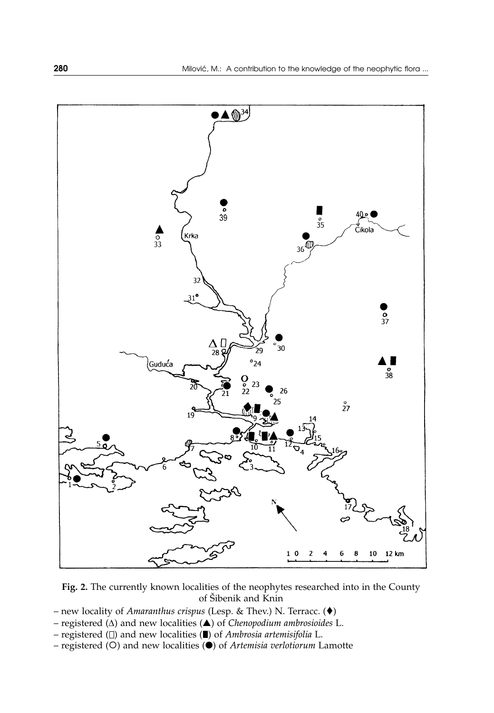

**Fig. 2.** The currently known localities of the neophytes researched into in the County of Šibenik and Knin

- new locality of *Amaranthus crispus* (Lesp. & Thev.) N. Terracc. ()
- registered  $(\Delta)$  and new localities  $(\triangle)$  of *Chenopodium ambrosioides* L.
- registered ( $\square$ ) and new localities ( $\square$ ) of *Ambrosia artemisifolia* L.
- registered (O) and new localities (<sup>O</sup>) of *Artemisia verlotiorum* Lamotte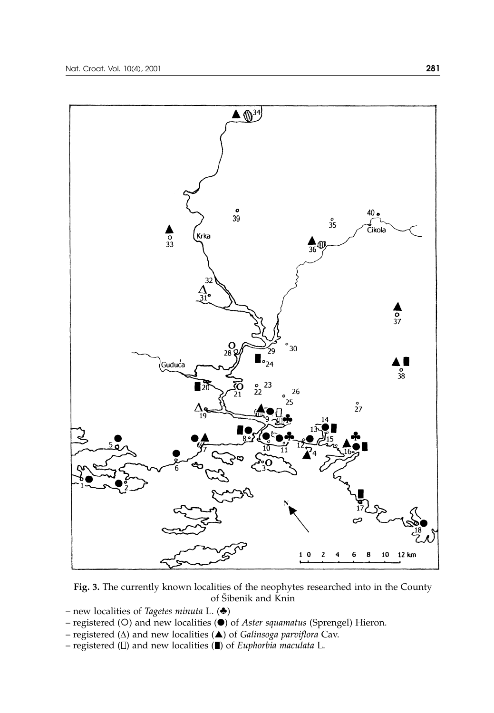

**Fig. 3.** The currently known localities of the neophytes researched into in the County of Šibenik and Knin

- new localities of *Tagetes minuta* L.  $(\triangleleft)$
- registered (O) and new localities (<sup>O</sup>) of *Aster squamatus* (Sprengel) Hieron.
- registered  $(\Delta)$  and new localities  $(\triangle)$  of *Galinsoga parviflora* Cav.
- registered  $( \Box )$  and new localities  $( \blacksquare )$  of *Euphorbia maculata* L.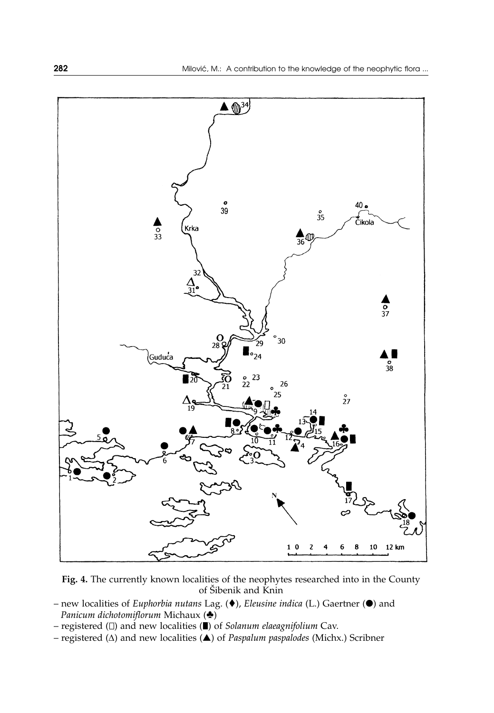

**Fig. 4.** The currently known localities of the neophytes researched into in the County of Šibenik and Knin

- new localities of *Euphorbia nutans* Lag. (♦), *Eleusine indica* (L.) Gaertner (●) and *Panicum dichotomiflorum Michaux* ( $\triangle$ )
- registered  $(\Box)$  and new localities  $(\blacksquare)$  of *Solanum elaeagnifolium* Cav.
- registered  $(\Delta)$  and new localities  $(\triangle)$  of *Paspalum paspalodes* (Michx.) Scribner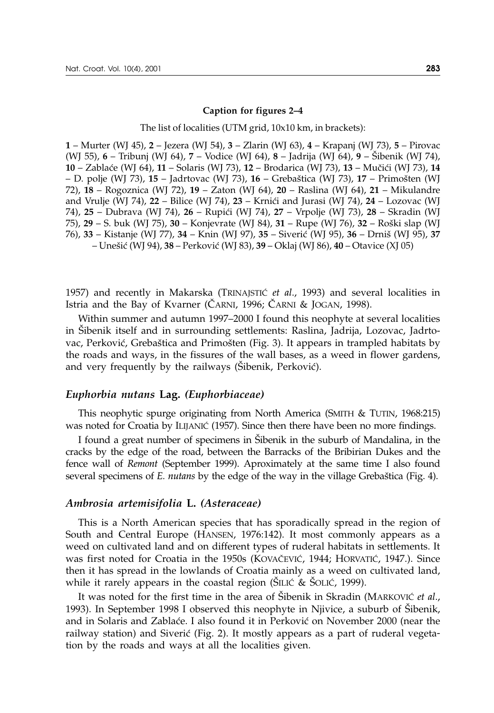#### **Caption for figures 2–4**

The list of localities (UTM grid, 10x10 km, in brackets):

**1** – Murter (WJ 45), **2** – Jezera (WJ 54), **3** – Zlarin (WJ 63), **4** – Krapanj (WJ 73), **5** – Pirovac (WJ 55), **6** – Tribunj (WJ 64), **7** – Vodice (WJ 64), **8** – Jadrija (WJ 64), **9** – [ibenik (WJ 74), **10** – Zabla}e (WJ 64), **11** – Solaris (WJ 73), **12** – Brodarica (WJ 73), **13** – Mu~i}i (WJ 73), **14** – D. polje (WJ 73), **15** – Jadrtovac (WJ 73), **16** – Greba{tica (WJ 73), **17** – Primo{ten (WJ 72), **18** – Rogoznica (WJ 72), **19** – Zaton (WJ 64), **20** – Raslina (WJ 64), **21** – Mikulandre and Vrulje (WJ 74), 22 – Bilice (WJ 74), 23 – Krnići and Jurasi (WJ 74), 24 – Lozovac (WJ 74), 25 – Dubrava (WJ 74), 26 – Rupići (WJ 74), 27 – Vrpolje (WJ 73), 28 – Skradin (WJ 75), **29** – S. buk (WJ 75), **30** – Konjevrate (WJ 84), **31** – Rupe (WJ 76), **32** – Roški slap (WJ 76), **33** – Kistanje (WJ 77), **34** – Knin (WJ 97), **35** – Siveri} (WJ 95), **36** – Drni{ (WJ 95), **37** – Une{i} (WJ 94), **38** – Perkovi} (WJ 83), **39** – Oklaj (WJ 86), **40** – Otavice (XJ 05)

1957) and recently in Makarska (TRINAJSTIĆ *et al.*, 1993) and several localities in Istria and the Bay of Kvarner (CARNI, 1996; CARNI & JOGAN, 1998).

Within summer and autumn 1997–2000 I found this neophyte at several localities in [ibenik itself and in surrounding settlements: Raslina, Jadrija, Lozovac, Jadrtovac, Perković, Grebaštica and Primošten (Fig. 3). It appears in trampled habitats by the roads and ways, in the fissures of the wall bases, as a weed in flower gardens, and very frequently by the railways (Šibenik, Perković).

# *Euphorbia nutans* **Lag.** *(Euphorbiaceae)*

This neophytic spurge originating from North America (SMITH & TUTIN, 1968:215) was noted for Croatia by ILIJANIC (1957). Since then there have been no more findings.

I found a great number of specimens in Šibenik in the suburb of Mandalina, in the cracks by the edge of the road, between the Barracks of the Bribirian Dukes and the fence wall of *Remont* (September 1999). Aproximately at the same time I also found several specimens of *E. nutans* by the edge of the way in the village Grebaštica (Fig. 4).

#### *Ambrosia artemisifolia* **L.** *(Asteraceae)*

This is a North American species that has sporadically spread in the region of South and Central Europe (HANSEN, 1976:142). It most commonly appears as a weed on cultivated land and on different types of ruderal habitats in settlements. It was first noted for Croatia in the 1950s (KOVAČEVIĆ, 1944; HORVATIĆ, 1947.). Since then it has spread in the lowlands of Croatia mainly as a weed on cultivated land, while it rarely appears in the coastal region ( $\text{\r{SILLC}}$  &  $\text{\r{SOLIC}}$ , 1999).

It was noted for the first time in the area of Sibenik in Skradin (MARKOVIC *et al.*, 1993). In September 1998 I observed this neophyte in Njivice, a suburb of Sibenik, and in Solaris and Zablaće. I also found it in Perković on November 2000 (near the railway station) and Siverić (Fig. 2). It mostly appears as a part of ruderal vegetation by the roads and ways at all the localities given.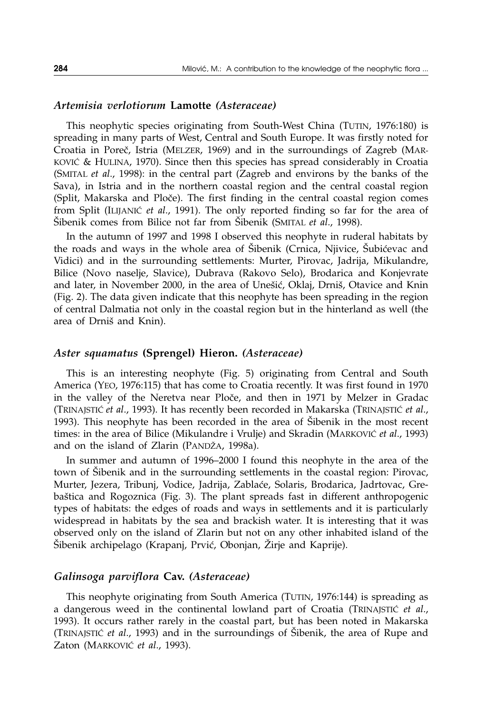# *Artemisia verlotiorum* **Lamotte** *(Asteraceae)*

This neophytic species originating from South-West China (TUTIN, 1976:180) is spreading in many parts of West, Central and South Europe. It was firstly noted for Croatia in Poreč, Istria (MELZER, 1969) and in the surroundings of Zagreb (MAR-KOVIĆ & HULINA, 1970). Since then this species has spread considerably in Croatia (SMITAL *et al*., 1998): in the central part (Zagreb and environs by the banks of the Sava), in Istria and in the northern coastal region and the central coastal region (Split, Makarska and Ploče). The first finding in the central coastal region comes from Split (ILIJANIĆ et al., 1991). The only reported finding so far for the area of [ibenik comes from Bilice not far from [ibenik (SMITAL *et al*., 1998).

In the autumn of 1997 and 1998 I observed this neophyte in ruderal habitats by the roads and ways in the whole area of Sibenik (Crnica, Njivice, Subićevac and Vidici) and in the surrounding settlements: Murter, Pirovac, Jadrija, Mikulandre, Bilice (Novo naselje, Slavice), Dubrava (Rakovo Selo), Brodarica and Konjevrate and later, in November 2000, in the area of Unešić, Oklaj, Drniš, Otavice and Knin (Fig. 2). The data given indicate that this neophyte has been spreading in the region of central Dalmatia not only in the coastal region but in the hinterland as well (the area of Drniš and Knin).

# *Aster squamatus* **(Sprengel) Hieron.** *(Asteraceae)*

This is an interesting neophyte (Fig. 5) originating from Central and South America (YEO, 1976:115) that has come to Croatia recently. It was first found in 1970 in the valley of the Neretva near Ploče, and then in 1971 by Melzer in Gradac (TRINAJSTI] *et al*., 1993). It has recently been recorded in Makarska (TRINAJSTI] *et al*., 1993). This neophyte has been recorded in the area of Sibenik in the most recent times: in the area of Bilice (Mikulandre i Vrulje) and Skradin (MARKOVIĆ *et al.*, 1993) and on the island of Zlarin (PANDŽA, 1998a).

In summer and autumn of 1996–2000 I found this neophyte in the area of the town of Sibenik and in the surrounding settlements in the coastal region: Pirovac, Murter, Jezera, Tribunj, Vodice, Jadrija, Zablaće, Solaris, Brodarica, Jadrtovac, Greba{tica and Rogoznica (Fig. 3). The plant spreads fast in different anthropogenic types of habitats: the edges of roads and ways in settlements and it is particularly widespread in habitats by the sea and brackish water. It is interesting that it was observed only on the island of Zlarin but not on any other inhabited island of the Sibenik archipelago (Krapanj, Prvić, Obonjan, Žirje and Kaprije).

# *Galinsoga parviflora* **Cav.** *(Asteraceae)*

This neophyte originating from South America (TUTIN, 1976:144) is spreading as a dangerous weed in the continental lowland part of Croatia (TRINAJSTIC et al., 1993). It occurs rather rarely in the coastal part, but has been noted in Makarska (TRINAJSTIC *et al.*, 1993) and in the surroundings of Sibenik, the area of Rupe and Zaton (MARKOVIĆ et al., 1993).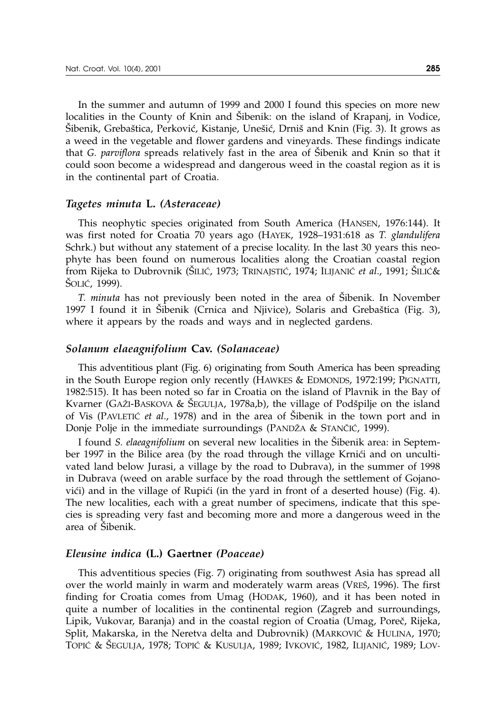In the summer and autumn of 1999 and 2000 I found this species on more new localities in the County of Knin and Sibenik: on the island of Krapanj, in Vodice, Sibenik, Grebaštica, Perković, Kistanje, Unešić, Drniš and Knin (Fig. 3). It grows as a weed in the vegetable and flower gardens and vineyards. These findings indicate that *G. parviflora* spreads relatively fast in the area of Sibenik and Knin so that it could soon become a widespread and dangerous weed in the coastal region as it is in the continental part of Croatia.

#### *Tagetes minuta* **L.** *(Asteraceae)*

This neophytic species originated from South America (HANSEN, 1976:144). It was first noted for Croatia 70 years ago (HAYEK, 1928–1931:618 as *T. glandulifera* Schrk.) but without any statement of a precise locality. In the last 30 years this neophyte has been found on numerous localities along the Croatian coastal region from Rijeka to Dubrovnik (ŠILIĆ, 1973; TRINAJSTIĆ, 1974; ILIJANIĆ *et al.,* 1991; ŠILIĆ& Šolić, 1999).

*T. minuta* has not previously been noted in the area of Sibenik. In November 1997 I found it in Sibenik (Crnica and Njivice), Solaris and Grebaštica (Fig. 3), where it appears by the roads and ways and in neglected gardens.

#### *Solanum elaeagnifolium* **Cav.** *(Solanaceae)*

This adventitious plant (Fig. 6) originating from South America has been spreading in the South Europe region only recently (HAWKES & EDMONDS, 1972:199; PIGNATTI, 1982:515). It has been noted so far in Croatia on the island of Plavnik in the Bay of Kvarner (GAŽI-BASKOVA & ŠEGULJA, 1978a,b), the village of Podšpilje on the island of Vis (PAVLETIC *et al.*, 1978) and in the area of Sibenik in the town port and in Donje Polje in the immediate surroundings (PANDŽA & STANČIĆ, 1999).

I found *S. elaeagnifolium* on several new localities in the Šibenik area: in September 1997 in the Bilice area (by the road through the village Krnići and on uncultivated land below Jurasi, a village by the road to Dubrava), in the summer of 1998 in Dubrava (weed on arable surface by the road through the settlement of Gojanovići) and in the village of Rupići (in the yard in front of a deserted house) (Fig. 4). The new localities, each with a great number of specimens, indicate that this species is spreading very fast and becoming more and more a dangerous weed in the area of Šibenik.

# *Eleusine indica* **(L.) Gaertner** *(Poaceae)*

This adventitious species (Fig. 7) originating from southwest Asia has spread all over the world mainly in warm and moderately warm areas (VREŠ, 1996). The first finding for Croatia comes from Umag (HODAK, 1960), and it has been noted in quite a number of localities in the continental region (Zagreb and surroundings, Lipik, Vukovar, Baranja) and in the coastal region of Croatia (Umag, Poreč, Rijeka, Split, Makarska, in the Neretva delta and Dubrovnik) (MARKOVIĆ & HULINA, 1970; TOPIĆ & ŚEGULJA, 1978; TOPIĆ & KUSULJA, 1989; IVKOVIĆ, 1982, ILIJANIĆ, 1989; LOV-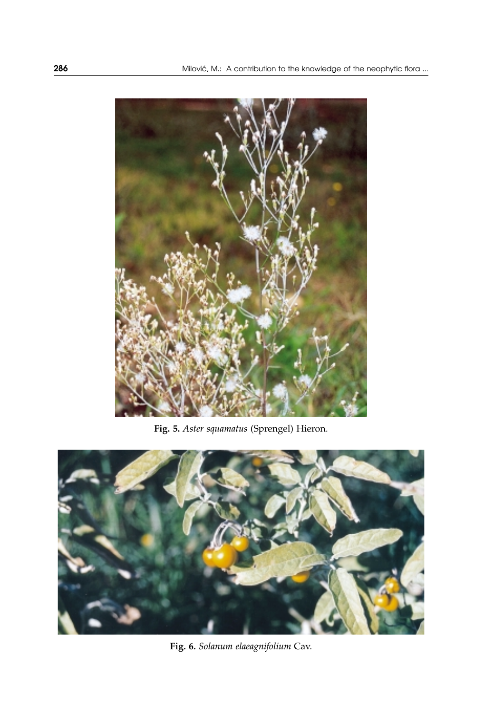

**Fig. 5.** *Aster squamatus* (Sprengel) Hieron.



**Fig. 6.** *Solanum elaeagnifolium* Cav.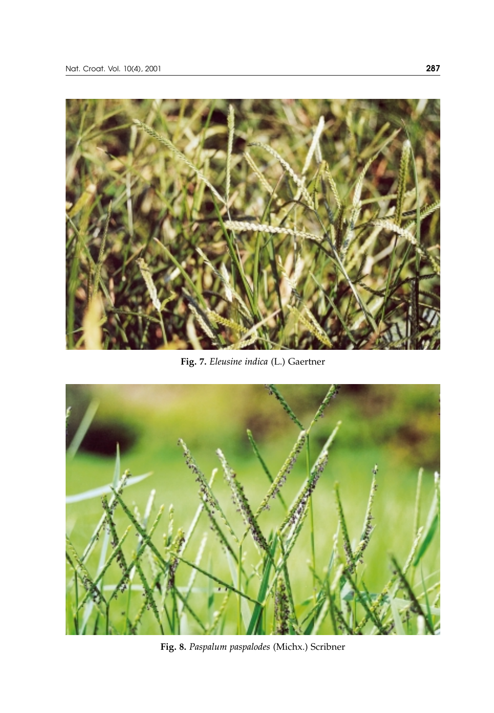

**Fig. 7.** *Eleusine indica* (L.) Gaertner



**Fig. 8.** *Paspalum paspalodes* (Michx.) Scribner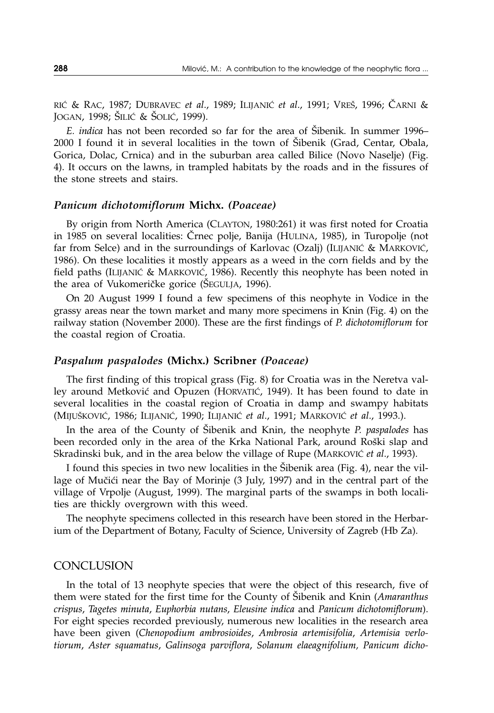RIĆ & RAC, 1987; DUBRAVEC *et al.*, 1989; ILIJANIĆ *et al.*, 1991; VREŠ, 1996; ČARNI & JOGAN, 1998; ŠILIĆ & ŠOLIĆ, 1999).

*E. indica* has not been recorded so far for the area of Sibenik. In summer 1996–  $2000$  I found it in several localities in the town of Šibenik (Grad, Centar, Obala, Gorica, Dolac, Crnica) and in the suburban area called Bilice (Novo Naselje) (Fig. 4). It occurs on the lawns, in trampled habitats by the roads and in the fissures of the stone streets and stairs.

# *Panicum dichotomiflorum* **Michx.** *(Poaceae)*

By origin from North America (CLAYTON, 1980:261) it was first noted for Croatia in 1985 on several localities: Črnec polje, Banija (HULINA, 1985), in Turopolje (not far from Selce) and in the surroundings of Karlovac (Ozalj) (ILIJANIĆ & MARKOVIĆ, 1986). On these localities it mostly appears as a weed in the corn fields and by the field paths (ILIJANIĆ & MARKOVIĆ, 1986). Recently this neophyte has been noted in the area of Vukomeričke gorice (ŠEGULJA, 1996).

On 20 August 1999 I found a few specimens of this neophyte in Vodice in the grassy areas near the town market and many more specimens in Knin (Fig. 4) on the railway station (November 2000). These are the first findings of *P. dichotomiflorum* for the coastal region of Croatia.

#### *Paspalum paspalodes* **(Michx.) Scribner** *(Poaceae)*

The first finding of this tropical grass (Fig. 8) for Croatia was in the Neretva valley around Metković and Opuzen (HORVATIĆ, 1949). It has been found to date in several localities in the coastal region of Croatia in damp and swampy habitats (MIJUŠKOVIĆ, 1986; ILIJANIĆ, 1990; ILIJANIĆ et al., 1991; MARKOVIĆ et al., 1993.).

In the area of the County of Šibenik and Knin, the neophyte *P. paspalodes* has been recorded only in the area of the Krka National Park, around Roški slap and Skradinski buk, and in the area below the village of Rupe (MARKOVIĆ et al., 1993).

I found this species in two new localities in the Sibenik area (Fig. 4), near the village of Mučići near the Bay of Morinje (3 July, 1997) and in the central part of the village of Vrpolje (August, 1999). The marginal parts of the swamps in both localities are thickly overgrown with this weed.

The neophyte specimens collected in this research have been stored in the Herbarium of the Department of Botany, Faculty of Science, University of Zagreb (Hb Za).

#### **CONCLUSION**

In the total of 13 neophyte species that were the object of this research, five of them were stated for the first time for the County of [ibenik and Knin (*Amaranthus crispus*, *Tagetes minuta*, *Euphorbia nutans*, *Eleusine indica* and *Panicum dichotomiflorum*). For eight species recorded previously, numerous new localities in the research area have been given (*Chenopodium ambrosioides*, *Ambrosia artemisifolia*, *Artemisia verlotiorum*, *Aster squamatus*, *Galinsoga parviflora*, *Solanum elaeagnifolium, Panicum dicho-*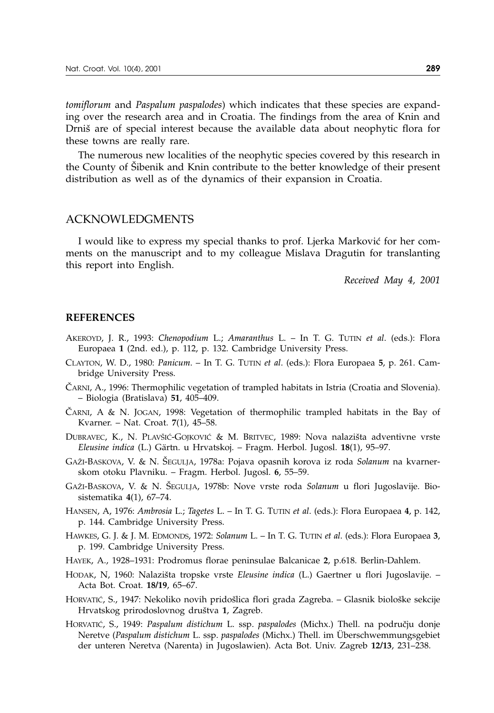*tomiflorum* and *Paspalum paspalodes*) which indicates that these species are expanding over the research area and in Croatia. The findings from the area of Knin and Drniš are of special interest because the available data about neophytic flora for these towns are really rare.

The numerous new localities of the neophytic species covered by this research in the County of Šibenik and Knin contribute to the better knowledge of their present distribution as well as of the dynamics of their expansion in Croatia.

# ACKNOWLEDGMENTS

I would like to express my special thanks to prof. Ljerka Marković for her comments on the manuscript and to my colleague Mislava Dragutin for translanting this report into English.

*Received May 4, 2001*

#### **REFERENCES**

- AKEROYD, J. R., 1993: *Chenopodium* L.; *Amaranthus* L. In T. G. TUTIN *et al*. (eds.): Flora Europaea **1** (2nd. ed.), p. 112, p. 132. Cambridge University Press.
- CLAYTON, W. D., 1980: *Panicum*. In T. G. TUTIN *et al*. (eds.): Flora Europaea **5**, p. 261. Cambridge University Press.
- ^ARNI, A., 1996: Thermophilic vegetation of trampled habitats in Istria (Croatia and Slovenia). – Biologia (Bratislava) **51**, 405–409.
- CARNI, A & N. JOGAN, 1998: Vegetation of thermophilic trampled habitats in the Bay of Kvarner. – Nat. Croat. **7**(1), 45–58.
- DUBRAVEC, K., N. PLAVŠIĆ-GOJKOVIĆ & M. BRITVEC, 1989: Nova nalazišta adventivne vrste *Eleusine indica* (L.) Gärtn. u Hrvatskoj. – Fragm. Herbol. Jugosl. **18**(1), 95–97.
- GA@I-BASKOVA, V. & N. [EGULJA, 1978a: Pojava opasnih korova iz roda *Solanum* na kvarnerskom otoku Plavniku. – Fragm. Herbol. Jugosl. **6**, 55–59.
- GAŽI-BASKOVA, V. & N. SEGULJA, 1978b: Nove vrste roda *Solanum* u flori Jugoslavije. Biosistematika **4**(1), 67–74.
- HANSEN, A, 1976: *Ambrosia* L.; *Tagetes* L. In T. G. TUTIN *et al*. (eds.): Flora Europaea **4**, p. 142, p. 144. Cambridge University Press.
- HAWKES, G. J. & J. M. EDMONDS, 1972: *Solanum* L. In T. G. TUTIN *et al*. (eds.): Flora Europaea **3**, p. 199. Cambridge University Press.
- HAYEK, A., 1928–1931: Prodromus florae peninsulae Balcanicae **2**, p.618. Berlin-Dahlem.
- HODAK, N, 1960: Nalazi{ta tropske vrste *Eleusine indica* (L.) Gaertner u flori Jugoslavije. Acta Bot. Croat. **18/19**, 65–67.
- HORVATIĆ, S., 1947: Nekoliko novih pridošlica flori grada Zagreba. Glasnik biološke sekcije Hrvatskog prirodoslovnog društva 1, Zagreb.
- HORVATIĆ, S., 1949: Paspalum distichum L. ssp. paspalodes (Michx.) Thell. na području donje Neretve (*Paspalum distichum* L. ssp. *paspalodes* (Michx.) Thell. im Überschwemmungsgebiet der unteren Neretva (Narenta) in Jugoslawien). Acta Bot. Univ. Zagreb **12/13**, 231–238.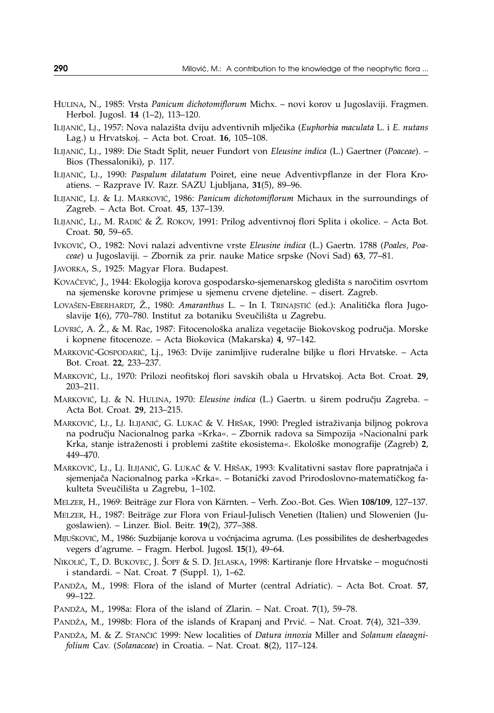- HULINA, N., 1985: Vrsta *Panicum dichotomiflorum* Michx. novi korov u Jugoslaviji. Fragmen. Herbol. Jugosl. **14** (1–2), 113–120.
- ILIJANI], LJ., 1957: Nova nalazi{ta dviju adventivnih mlje~ika (*Euphorbia maculata* L. i *E. nutans* Lag.) u Hrvatskoj. – Acta bot. Croat. **16**, 105–108.
- ILIJANI], LJ., 1989: Die Stadt Split, neuer Fundort von *Eleusine indica* (L.) Gaertner (*Poaceae*). Bios (Thessaloniki), p. 117.
- ILIJANIĆ, LJ., 1990: Paspalum dilatatum Poiret, eine neue Adventivpflanze in der Flora Kroatiens. – Razprave IV. Razr. SAZU Ljubljana, **31**(5), 89–96.
- ILIJANIĆ, LJ. & LJ. MARKOVIĆ, 1986: *Panicum dichotomiflorum* Michaux in the surroundings of Zagreb. – Acta Bot. Croat. **45**, 137–139.
- ILIJANIĆ, LJ., M. RADIĆ & Ž. ROKOV, 1991: Prilog adventivnoj flori Splita i okolice. Acta Bot. Croat. **50**, 59–65.
- IvKOVIĆ, O., 1982: Novi nalazi adventivne vrste *Eleusine indica* (L.) Gaertn. 1788 (Poales, Poa*ceae*) u Jugoslaviji. – Zbornik za prir. nauke Matice srpske (Novi Sad) **63**, 77–81.
- JAVORKA, S., 1925: Magyar Flora. Budapest.
- KOVAČEVIĆ, J., 1944: Ekologija korova gospodarsko-sjemenarskog gledišta s naročitim osvrtom na sjemenske korovne primjese u sjemenu crvene djeteline. – disert. Zagreb.
- LOVAŠEN-EBERHARDT, Ž., 1980: *Amaranthus* L. In I. TRINAJSTIĆ (ed.): Analitička flora Jugoslavije 1(6), 770–780. Institut za botaniku Sveučilišta u Zagrebu.
- LOVRIĆ, A. Ž., & M. Rac, 1987: Fitocenološka analiza vegetacije Biokovskog područja. Morske i kopnene fitocenoze. – Acta Biokovica (Makarska) **4**, 97–142.
- MARKOVIĆ-GOSPODARIĆ, Lj., 1963: Dvije zanimljive ruderalne biljke u flori Hrvatske. Acta Bot. Croat. **22**, 233–237.
- MARKOVIĆ, LJ., 1970: Prilozi neofitskoj flori savskih obala u Hrvatskoj. Acta Bot. Croat. 29, 203–211.
- MARKOVIĆ, LJ. & N. HULINA, 1970: *Eleusine indica* (L.) Gaertn. u širem području Zagreba. -Acta Bot. Croat. **29**, 213–215.
- MARKOVIĆ, LJ., LJ. ILIJANIĆ, G. LUKAČ & V. HRŠAK, 1990: Pregled istraživanja biljnog pokrova na podru~ju Nacionalnog parka »Krka«. – Zbornik radova sa Simpozija »Nacionalni park Krka, stanje istraženosti i problemi zaštite ekosistema«. Ekološke monografije (Zagreb) 2, 449–470.
- MARKOVIĆ, LJ., LJ. ILIJANIĆ, G. LUKAČ & V. HRŠAK, 1993: Kvalitativni sastav flore papratnjača i sjemenjača Nacionalnog parka »Krka«. – Botanički zavod Prirodoslovno-matematičkog fakulteta Sveučilišta u Zagrebu, 1-102.
- MELZER, H., 1969: Beiträge zur Flora von Kärnten. Verh. Zoo.-Bot. Ges. Wien **108/109**, 127–137.
- MELZER, H., 1987: Beiträge zur Flora von Friaul-Julisch Venetien (Italien) und Slowenien (Jugoslawien). – Linzer. Biol. Beitr. **19**(2), 377–388.
- MIJUŠKOVIĆ, M., 1986: Suzbijanje korova u voćnjacima agruma. (Les possibilites de desherbagedes vegers d'agrume. – Fragm. Herbol. Jugosl. **15**(1), 49–64.
- NIKOLIĆ, T., D. BUKOVEC, J. ŠOPF & S. D. JELASKA, 1998: Kartiranje flore Hrvatske mogućnosti i standardi. – Nat. Croat. **7** (Suppl. 1), 1–62.
- PAND@A, M., 1998: Flora of the island of Murter (central Adriatic). Acta Bot. Croat. **57**, 99–122.
- PAND@A, M., 1998a: Flora of the island of Zlarin. Nat. Croat. **7**(1), 59–78.
- PANDŽA, M., 1998b: Flora of the islands of Krapanj and Prvić. Nat. Croat. 7(4), 321–339.
- PANDŽA, M. & Z. STANČIĆ 1999: New localities of *Datura innoxia* Miller and *Solanum elaeagnifolium* Cav. (*Solanaceae*) in Croatia. – Nat. Croat. **8**(2), 117–124.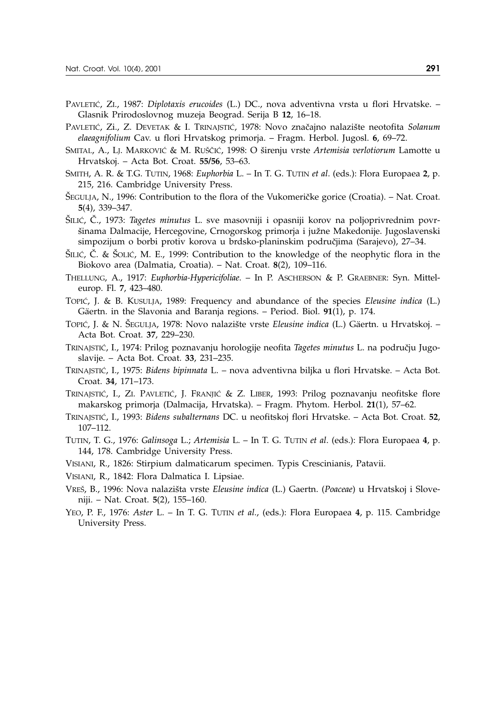- PAVLETIĆ, ZI., 1987: *Diplotaxis erucoides* (L.) DC., nova adventivna vrsta u flori Hrvatske. Glasnik Prirodoslovnog muzeja Beograd. Serija B **12**, 16–18.
- PAVLETIĆ, Zi., Z. DEVETAK & I. TRINAJSTIĆ, 1978: Novo značajno nalazište neotofita Solanum *elaeagnifolium* Cav. u flori Hrvatskog primorja. – Fragm. Herbol. Jugosl. **6**, 69–72.
- SMITAL, A., LJ. MARKOVIĆ & M. RUŠČIĆ, 1998: O širenju vrste *Artemisia verlotiorum* Lamotte u Hrvatskoj. – Acta Bot. Croat. **55/56**, 53–63.
- SMITH, A. R. & T.G. TUTIN, 1968: *Euphorbia* L. In T. G. TUTIN *et al*. (eds.): Flora Europaea **2**, p. 215, 216. Cambridge University Press.
- SEGULJA, N., 1996: Contribution to the flora of the Vukomeričke gorice (Croatia). Nat. Croat. **5**(4), 339–347.
- [ILI], ^., 1973: *Tagetes minutus* L. sve masovniji i opasniji korov na poljoprivrednim povr šinama Dalmacije, Hercegovine, Crnogorskog primorja i južne Makedonije. Jugoslavenski simpozijum o borbi protiv korova u brdsko-planinskim područjima (Sarajevo), 27–34.
- $\text{SILL}$ ,  $\text{C}$ . &  $\text{SOLL}$ , M. E., 1999: Contribution to the knowledge of the neophytic flora in the Biokovo area (Dalmatia, Croatia). – Nat. Croat. **8**(2), 109–116.
- THELLUNG, A., 1917: *Euphorbia-Hypericifoliae*. In P. ASCHERSON & P. GRAEBNER: Syn. Mitteleurop. Fl. **7**, 423–480.
- TOPIĆ, J. & B. KUSULJA, 1989: Frequency and abundance of the species *Eleusine indica* (L.) Gäertn. in the Slavonia and Baranja regions. – Period. Biol. **91**(1), p. 174.
- TOPIĆ, J. & N. ŠEGULJA, 1978: Novo nalazište vrste *Eleusine indica* (L.) Gäertn. u Hrvatskoj. Acta Bot. Croat. **37**, 229–230.
- TRINAJSTIĆ, I., 1974: Prilog poznavanju horologije neofita *Tagetes minutus* L. na području Jugoslavije. – Acta Bot. Croat. **33**, 231–235.
- TRINAJSTI], I., 1975: *Bidens bipinnata* L. nova adventivna biljka u flori Hrvatske. Acta Bot. Croat. **34**, 171–173.
- TRINAJSTIĆ, I., ZI. PAVLETIĆ, J. FRANJIĆ & Z. LIBER, 1993: Prilog poznavanju neofitske flore makarskog primorja (Dalmacija, Hrvatska). – Fragm. Phytom. Herbol. **21**(1), 57–62.
- TRINAJSTI], I., 1993: *Bidens subalternans* DC. u neofitskoj flori Hrvatske. Acta Bot. Croat. **52**, 107–112.
- TUTIN, T. G., 1976: *Galinsoga* L.; *Artemisia* L. In T. G. TUTIN *et al*. (eds.): Flora Europaea **4**, p. 144, 178. Cambridge University Press.
- VISIANI, R., 1826: Stirpium dalmaticarum specimen. Typis Crescinianis, Patavii.
- VISIANI, R., 1842: Flora Dalmatica I. Lipsiae.
- VRE[, B., 1996: Nova nalazi{ta vrste *Eleusine indica* (L.) Gaertn. (*Poaceae*) u Hrvatskoj i Sloveniji. – Nat. Croat. **5**(2), 155–160.
- YEO, P. F., 1976: *Aster* L. In T. G. TUTIN *et al*., (eds.): Flora Europaea **4**, p. 115. Cambridge University Press.